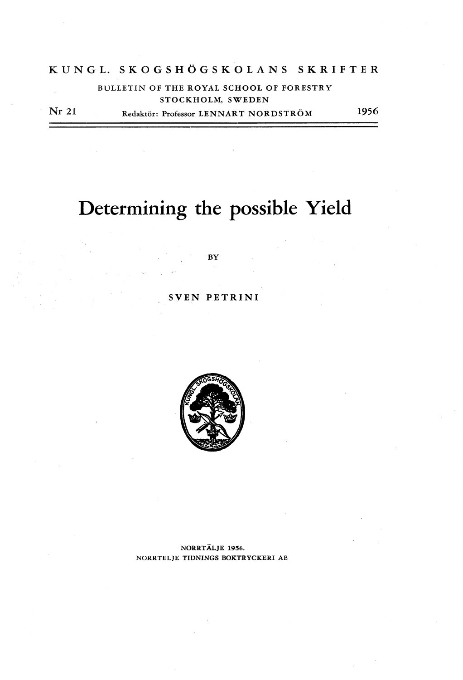## KUNGL. SKOGSHÖGSKOLANS SKRIFTER

## BULLETIN OF THE ROYAL SCHOOL OF FORESTRY STOCKHOLM, SWEDEN

Nr 21

Redaktör: Professor LENNART NORDSTRÖM

1956

# **Determining the possible Yield**

**BY** 

SYEN PETRINI



NORRTÄLJE 1956. NORRTELJE TIDNINGS BOKTRYCKERI AB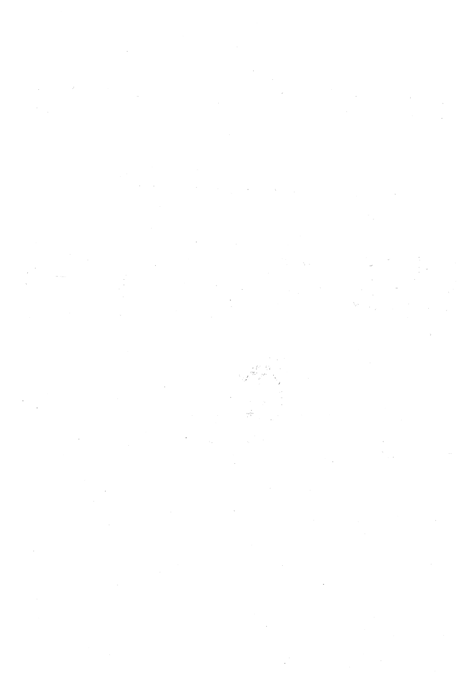$\label{eq:2.1} \frac{1}{\sqrt{2\pi}}\int_{0}^{\infty}\frac{dx}{\sqrt{2\pi}}\,dx\leq \frac{1}{\sqrt{2\pi}}\int_{0}^{\infty}\frac{dx}{\sqrt{2\pi}}\,dx$ 



 $\label{eq:2} \frac{1}{\sqrt{2}}\left(\frac{1}{\sqrt{2}}\right)^{2} \left(\frac{1}{\sqrt{2}}\right)^{2} \left(\frac{1}{\sqrt{2}}\right)^{2} \left(\frac{1}{\sqrt{2}}\right)^{2} \left(\frac{1}{\sqrt{2}}\right)^{2} \left(\frac{1}{\sqrt{2}}\right)^{2} \left(\frac{1}{\sqrt{2}}\right)^{2} \left(\frac{1}{\sqrt{2}}\right)^{2} \left(\frac{1}{\sqrt{2}}\right)^{2} \left(\frac{1}{\sqrt{2}}\right)^{2} \left(\frac{1}{\sqrt{2}}\right)^{2} \left(\frac{$ 

 $\mathcal{L}^{\text{max}}_{\text{max}}$  and  $\mathcal{L}^{\text{max}}_{\text{max}}$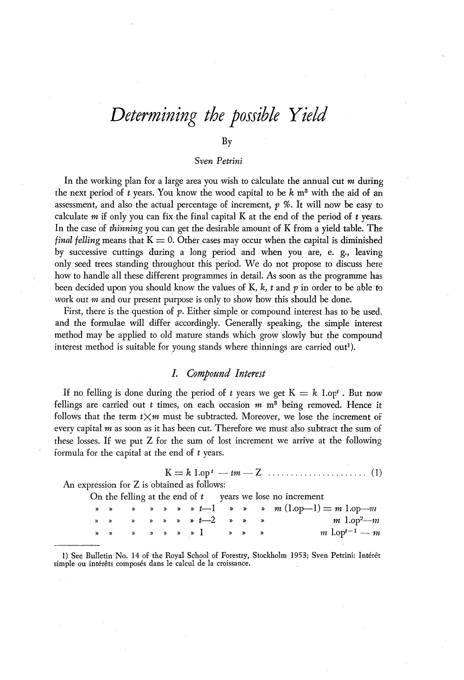# *Determining the possible Yield*

#### By

#### *Sven Petrini*

In the working plan for a large area you wish to calculate the annual cut *m* during the next period of t years. You know the wood capital to be *k* m3 with the aid of an assessment, and also the actual percentage of increment, *p* %. lt will now be easy to calculate *m* if only you can fix the final capital K at the end of the period of t years. In the case of *thinning* you can get the desirable amount of K from a yield table. The *final felling* means that  $K = 0$ . Other cases may occur when the capital is diminished by successive cuttings during a long period and when you are, e. g., leaving only seed trees standing throughout this period. We do not propose to discuss here how to handle all these different programmes in detail. As soon as the programme has been decided upon you should know the values of K, k, t and p in order to be able to work out *m* and our present purpose is only to show how this should be done.

First, there is the question of  $p$ . Either simple or compound interest has to be used. and the formulae will differ accordingly. Generally speaking, the simple interest method may be applied to old mature stands which grow slowly but the compound interest method is suitable for young stands where thinnings are carried out<sup>1</sup>).

### *l. Gompound Interest*

If no felling is done during the period of t years we get  $K = k 1$ .opt. But now fellings are carried out  $t$  times, on each occasion  $m$  m<sup>3</sup> being removed. Hence it follows that the term  $t \times m$  must be subtracted. Moreover, we lose the increment of every capital *m* as soon as it has been cut. Therefore we must also subtract the sum of these losses. If we put Z for the sum of lost increment we arrive at the following formula for the capital at the end of  $t$  years.

K = *k* l.op *t* - *tm* - Z . . . . . . . . . . . . . . . . . . . . . . (I)

An expression for Z is obtained as follows:

On the felling at the end of  $t$  years we lose no increment

|  |  |  | $\rightarrow$ $\rightarrow$ $\rightarrow$ $\rightarrow$ $\rightarrow$ $\rightarrow$ $t-2$ $\rightarrow$ $\rightarrow$ $\rightarrow$ |  | $m \ 1.0 p^2 - m$                |
|--|--|--|-------------------------------------------------------------------------------------------------------------------------------------|--|----------------------------------|
|  |  |  |                                                                                                                                     |  | $m \text{ l} \cdot op^{t-1} - m$ |

1) See Bulletin No. 14 of the Royal School of Forestry, Stockholm 1953; Sven Petrini: Intérêt simple ou intérêts composés dans le calcul de la croissance.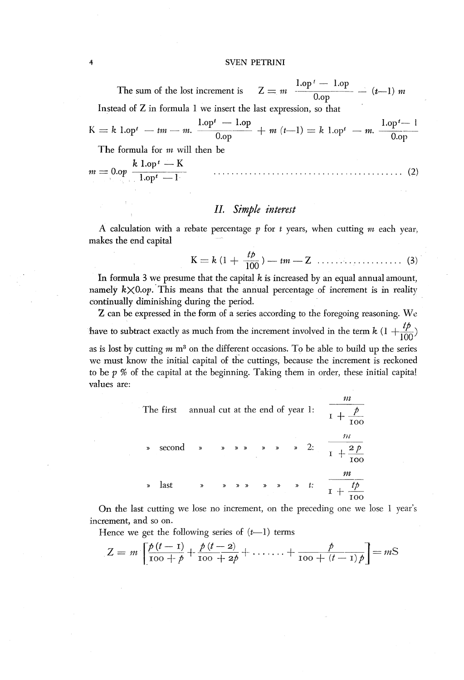4 SVEN PETRJNI

The sum of the lost increment is  $Z = m \frac{1 \cdot op^t - 1 \cdot op}{0 \cdot op} - (t-1) m$ lnstead of Z in formula l we insert the last expression, so that  $K = k \cdot 1 \cdot op^t$  *- tm -- m.*  $\frac{1 \cdot op^t - 1 \cdot op}{0 \cdot op}$  + m  $(t-1) = k \cdot 1 \cdot op^t$  *-- m.*  $\frac{1 \cdot op^t - 1 \cdot op}{0 \cdot op}$ 

The formula for *m* will then be

*<sup>k</sup>*l.op <sup>1</sup> - <sup>K</sup>*m* = O.op *l.opt* \_ l· . . . . . . . . . . . . . . . . . . . . . . . . . . . . . . . . . . . . . . . . . . (2)

### *II. Simple interest*

A calculation with a rebate percentage  $p$  for  $t$  years, when cutting  $m$  each year, makes the end capita!

$$
K = k (1 + \frac{tb}{100}) - tm - Z \dots \dots \dots \dots \dots \quad (3)
$$

In formula 3 we presume that the capital  $k$  is increased by an equal annual amount, namely  $k \times 0.0p$ . This means that the annual percentage of increment is in reality continually diminishing during the period.

Z can be expressed in the form of a series according to the foregoing reasoning. W e have to subtract exactly as much from the increment involved in the term  $k(1 + \frac{l\phi}{100})$ 

as is lost by outting *m* m3 on the different occasions. To be able to build up the series we must know the initial capital of the cuttings, because the increment is reckoned to be  $p$  % of the capital at the beginning. Taking them in order, these initial capital values are:

The first annual cut at the end of year 1: 
$$
\frac{m}{1 + \frac{p}{100}}
$$
  
\n
$$
\frac{m}{1 + \frac{2p}{100}}
$$
  
\n
$$
\frac{m}{1 + \frac{2p}{100}}
$$
  
\n
$$
\frac{m}{1 + \frac{tp}{100}}
$$

On the last outting we lose no increment, on the preceding one we lose l year's increment, and so on.

Hence we get the following series of  $(t-1)$  terms

Hence we get the following series of 
$$
(t-1)
$$
 terms  

$$
Z = m \left[ \frac{\dot{p}(t-1)}{\text{ro } + \dot{p}} + \frac{\dot{p}(t-2)}{\text{ro } + 2\dot{p}} + \dots + \frac{\dot{p}}{\text{ro } + (t-1)\dot{p}} \right] = mS
$$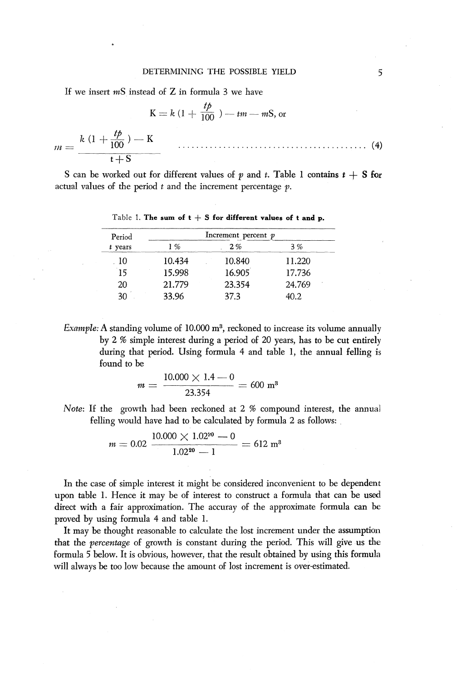If we insert  $mS$  instead of  $Z$  in formula 3 we have

$$
K = k \left(1 + \frac{tp}{100}\right) - tm - mS, \text{ or}
$$
\n
$$
m = \frac{k \left(1 + \frac{tp}{100}\right) - K}{t + S} \qquad \qquad (4)
$$

S can be worked out for different values of  $p$  and  $t$ . Table 1 contains  $t + S$  for actual values of the period  $t$  and the increment percentage  $p$ .

| Period    |        | Increment percent $p$ |        |
|-----------|--------|-----------------------|--------|
| $t$ years | 1 %    | 2%                    | 3 %    |
| -10       | 10.434 | 10.840                | 11.220 |
| 15        | 15.998 | 16.905                | 17.736 |
| 20        | 21.779 | 23.354                | 24.769 |
|           | 33.96  | 37.3                  | በ 2    |

Table 1. The sum of  $t + S$  for different values of t and p.

*Example:* A standing volume of 10.000 m<sup>3</sup>, reckoned to increase its volume annually by 2 % simple interest during a period of 20 years, has to be cut entirely during that period. Using formula 4 and table 1, the annual felling is found to be

$$
m = \frac{10.000 \times 1.4 - 0}{23.354} = 600 \text{ m}^3
$$

*Note*: If the growth had been reckoned at 2 % compound interest, the annual felling would have had to be calculated by formula 2 as follows:

$$
m = 0.02 \frac{10.000 \times 1.02^{20} - 0}{1.02^{20} - 1} = 612 \text{ m}^3
$$

In the case of simple interest it might be considered inconvenient to be dependent upon table l. Hence it may be of interest to construct a fonnula that can be used direct with a fair approximation. The accuray of the approximate formula can be proved by using fonnula 4 and table l.

lt may be thought reasonable to calculate the lost increment under the assumption that the *percentage* of growth is eonstant during the period. This will give us the formula 5 below. It is obvious, however, that the result obtained by using this formula will always be too low because the amount of lost increment is over-estimated.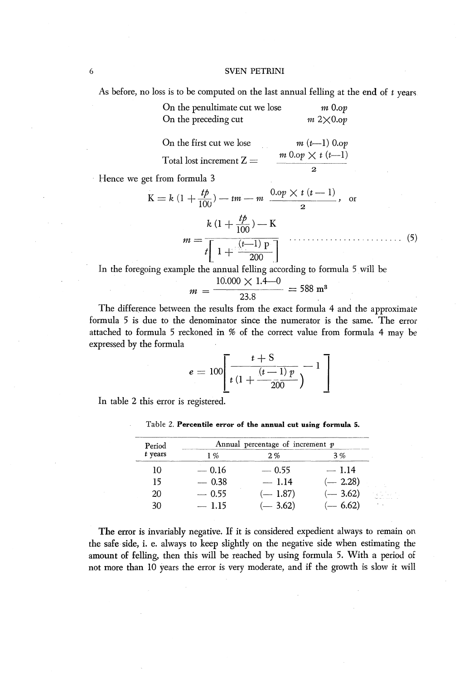#### 6 SVEN PETRINI

As before, no loss is to be computed on the last annual felling at the end of  $t$  years

| On the penultimate cut we lose | $m\ 0.$ op          |
|--------------------------------|---------------------|
| On the preceding cut           | $m$ 2 $\times$ 0.op |

| On the first cut we lose   | $m(t-1)$ 0.0p                       |
|----------------------------|-------------------------------------|
| Total lost increment Z $=$ | $m \cdot 0.0p \times t \cdot (t-1)$ |

Hence we get from formula 3

let from formula 5  
\n
$$
K = k (1 + \frac{tp}{100}) - tm - m \frac{0.0p \times t (t - 1)}{2}, \text{ or}
$$
\n
$$
m = \frac{k (1 + \frac{tp}{100}) - K}{t \left[ 1 + \frac{(t - 1)p}{200} \right]} \dots \dots \dots \dots \dots \dots \tag{5}
$$

2

In the foregoing example the annual felling according to formula 5 will be

$$
m = \frac{10.000 \times 1.4 - 0}{23.8} = 588 \text{ m}^3
$$

The difference between the results from the exact formula 4 and the approximate formula 5 is due to the denominator since the numeratar is the same. The error attached to formula 5 reckoned in % of the correct value from formula 4 may be expressed by the formula

$$
e = 100 \left[ \frac{t + S}{t (1 + \frac{(t - 1) p}{200})} - 1 \right]
$$

In table 2 this error is registered.

| Period  |          | Annual percentage of increment $p$ |           |
|---------|----------|------------------------------------|-----------|
| t years | 1%       | $2. \%$                            | 3%        |
| 10      | $= 0.16$ | $-0.55$                            | $-1.14$   |
| 15      | $-0.38$  | $-1.14$                            | $(-2.28)$ |
| 20      | $-0.55$  | $(-1.87)$                          | $(-3.62)$ |
| 30      | $-1.15$  | $(-3.62)$                          | $(-6.62)$ |

Table 2. Percentile error of the annual cut using formula 5.

The error is invariably negative. If it is considered expedient always to remain on the safe side, i. e. always to keep slightly on the negative side w hen estimating the amount of felling, then this will be reached by using formula 5. With a period of not more than 10 years the error is very moderate, and if the growth is slow it will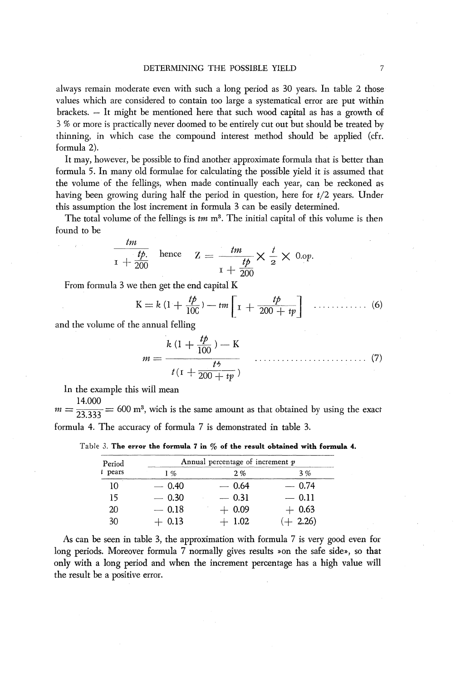#### DETERMINING THE POSSIBLE YIELD

always remain moderate even with such a long period as 30 years. In table 2 those values which are considered to contain too large a systematical error are put within brackets. - It might be mentioned here that such wood capital as has a growth of 3 % or more is practically never doomed to be entirely cut out but should be treated by thinning, in which case the compound interest method should be applied (cfr. formula 2).

It may, however, be possible to find another approximate formula that is better than formula 5. In many old formulae for calculating the possible yield it is assumed that the volume of the fellings, when made continually each year, can be reckoned as having been growing during half the period in question, here for  $t/2$  years. Under this assumption the lost increment in formula 3 can be easily determined.

The total volume of the fellings is  $tm \, \text{m}^3$ . The initial capital of this volume is then found to be

$$
\frac{m}{1+\frac{tp}{200}} \quad \text{hence} \quad Z = \frac{tm}{1+\frac{tp}{200}} \times \frac{t}{2} \times 0.0p.
$$

From formula 3 we then get the end capital K

$$
K = k \left(1 + \frac{tp}{10C}\right) - tm \left[1 + \frac{tp}{200 + tp}\right] \quad \cdots \quad \cdots \quad \text{(6)}
$$

and the volume of the annual felling

 $\overline{\phantom{a}}$ 

 $\overline{1}$ 

$$
m = \frac{k(1 + \frac{tp}{100}) - K}{t(1 + \frac{tp}{200 + tp})}
$$
 (7)

In the example this will mean

 $m = \frac{24000 \text{ m}}{23.333}$  = 600 m<sup>3</sup>, wich is the same amount as that obtained by using the exact formula 4. The accuracy of formula 7 is demonstrated in table 3.

|  |  |  |  |  |  |  |  |  | Table 3. The error the formula 7 in $\%$ of the result obtained with formula 4. |  |  |  |
|--|--|--|--|--|--|--|--|--|---------------------------------------------------------------------------------|--|--|--|
|--|--|--|--|--|--|--|--|--|---------------------------------------------------------------------------------|--|--|--|

| Period    |          | Annual percentage of increment $p$ |           |
|-----------|----------|------------------------------------|-----------|
| $t$ pears | 1%       | 2%                                 | 3%        |
| 10        | $-0.40$  | $-0.64$                            | $-0.74$   |
| 15        | $-0.30$  | $-0.31$                            | $-0.11$   |
| 20        | $-0.18$  | $+0.09$                            | $+0.63$   |
| 30        | $+ 0.13$ | $+1.02$                            | $+$ 2.26) |

As can be seen in table 3, the approximation with formula 7 is very good even for long periods. Moreover formula 7 normally gives results »on the safe side», so that only with a long period and when the increment percentage has a high value will the result be a positive error.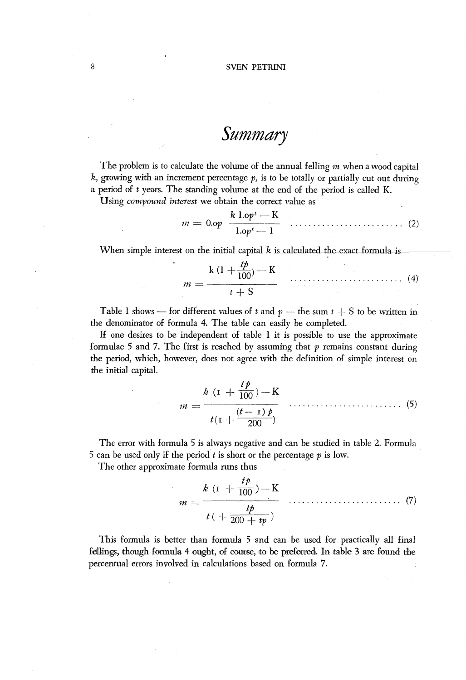# *Summary*

The problem is to calculate the volume of the annual felling m when a wood capital k, growing with an increment percentage  $p$ , is to be totally or partially cut out during a period of t years. The standing volume at the end of the period is called K.

Using *campaund interest* we obtain the correct value as

$$
m = 0.0p \frac{k \cdot 1.0p^{t} - K}{1.0p^{t} - 1} \quad \dots \quad (2)
$$

When simple interest on the initial capital  $k$  is calculated the exact formula is

$$
m = \frac{k (1 + \frac{tp}{100}) - K}{t + S}
$$
 (4)

Table 1 shows — for different values of *t* and  $p$  — the sum  $t + S$  to be written in the denominator of formula 4. The table can easily be completed.

If one desires to be independent of table l it is possible to use the approximate formulae 5 and 7. The first is reached by assuming that  $p$  remains constant during the period, which, however, does not agree with the definition of simple interest on the initial capita!.

$$
m = \frac{k \left( \mathbf{r} + \frac{t p}{100} \right) - K}{t \left( \mathbf{r} + \frac{(t - \mathbf{r}) p}{200} \right)}
$$
(5)

The error with farmula 5 is always negative and can be studied in table 2. Formula 5 can be used only if the period t is short or the percentage  $p$  is low.

The other approximate formula runs thus

$$
m = \frac{k \left(1 + \frac{t p}{100}\right) - K}{t\left(+\frac{t p}{200 + t p}\right)}
$$
 (7)

This formula is better than formula 5 and can be used for practically all final fellings, though formula 4 ought, of course, to be preferred. In table 3 are found the percentual errors involved in calculations based on formula 7.